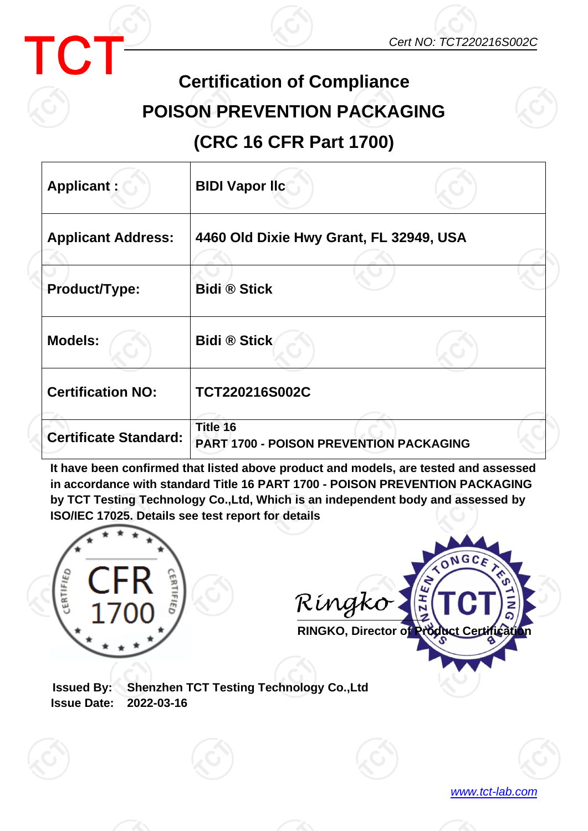

*www.tct-lab.com*



## **Certification of Compliance POISON PREVENTION PACKAGING**

**(CRC 16 CFR Part 1700)**

| Applicant:                   | <b>BIDI Vapor Ilc</b>                                      |  |  |
|------------------------------|------------------------------------------------------------|--|--|
| <b>Applicant Address:</b>    | 4460 Old Dixie Hwy Grant, FL 32949, USA                    |  |  |
| Product/Type:                | <b>Bidi ® Stick</b>                                        |  |  |
| <b>Models:</b>               | <b>Bidi ® Stick</b>                                        |  |  |
| <b>Certification NO:</b>     | TCT220216S002C                                             |  |  |
| <b>Certificate Standard:</b> | Title 16<br><b>PART 1700 - POISON PREVENTION PACKAGING</b> |  |  |

**It have been confirmed that listed above product and models, are tested and assessed in accordance with standard Title 16 PART 1700 - POISON PREVENTION PACKAGING by TCT Testing Technology Co.,Ltd, Which is an independent body and assessed by ISO/IEC 17025. Details see test report for details**